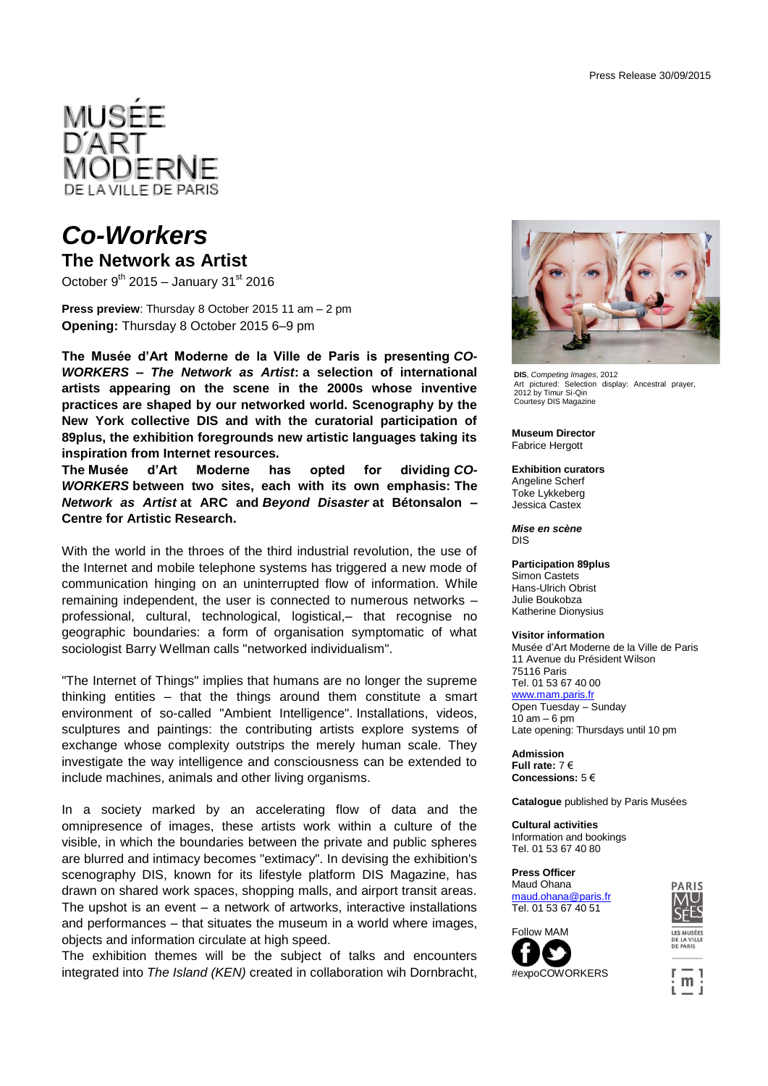

## *Co-Workers*

**The Network as Artist**

October  $9^{th}$  2015 – January 31 $^{st}$  2016

**Press preview**: Thursday 8 October 2015 11 am – 2 pm **Opening:** Thursday 8 October 2015 6–9 pm

**The Musée d'Art Moderne de la Ville de Paris is presenting** *CO-WORKERS – The Network as Artist***: a selection of international artists appearing on the scene in the 2000s whose inventive practices are shaped by our networked world. Scenography by the New York collective DIS and with the curatorial participation of 89plus, the exhibition foregrounds new artistic languages taking its inspiration from Internet resources.**

**The Musée d'Art Moderne has opted for dividing** *CO-WORKERS* **between two sites, each with its own emphasis: The**  *Network as Artist* **at ARC and** *Beyond Disaster* **at Bétonsalon – Centre for Artistic Research.**

With the world in the throes of the third industrial revolution, the use of the Internet and mobile telephone systems has triggered a new mode of communication hinging on an uninterrupted flow of information. While remaining independent, the user is connected to numerous networks – professional, cultural, technological, logistical,– that recognise no geographic boundaries: a form of organisation symptomatic of what sociologist Barry Wellman calls "networked individualism".

"The Internet of Things" implies that humans are no longer the supreme thinking entities – that the things around them constitute a smart environment of so-called "Ambient Intelligence". Installations, videos, sculptures and paintings: the contributing artists explore systems of exchange whose complexity outstrips the merely human scale. They investigate the way intelligence and consciousness can be extended to include machines, animals and other living organisms.

In a society marked by an accelerating flow of data and the omnipresence of images, these artists work within a culture of the visible, in which the boundaries between the private and public spheres are blurred and intimacy becomes "extimacy". In devising the exhibition's scenography DIS, known for its lifestyle platform DIS Magazine, has drawn on shared work spaces, shopping malls, and airport transit areas. The upshot is an event  $-$  a network of artworks, interactive installations and performances – that situates the museum in a world where images, objects and information circulate at high speed.

The exhibition themes will be the subject of talks and encounters integrated into *The Island (KEN)* created in collaboration wih Dornbracht,



**DIS**, *Competing Images*, 2012 Art pictured: Selection display: Ancestral prayer, 2012 by Timur Si-Qin Courtesy DIS Magazine

**Museum Director** Fabrice Hergott

### **Exhibition curators**

Angeline Scherf Toke Lykkeberg Jessica Castex

*Mise en scène* DIS

### **Participation 89plus**

Simon Castets Hans-Ulrich Obrist Julie Boukobza Katherine Dionysius

### **Visitor information**

Musée d'Art Moderne de la Ville de Paris 11 Avenue du Président Wilson 75116 Paris Tel. 01 53 67 40 00 www.mam.paris.fr Open Tuesday – Sunday  $10$  am  $-6$  pm Late opening: Thursdays until 10 pm

**Admission Full rate:** 7 € **Concessions:** 5 €

**Catalogue** published by Paris Musées

**Cultural activities** Information and bookings Tel. 01 53 67 40 80

**Press Officer** Maud Ohan[a](mailto:maud.ohana@paris.fr) [maud.ohana@paris.fr](mailto:maud.ohana@paris.fr) Tel. 01 53 67 40 51









DE PARIS